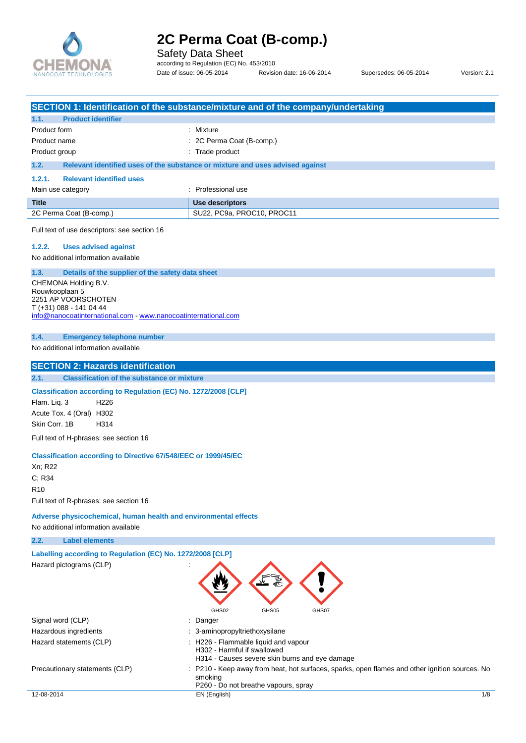

Safety Data Sheet

according to Regulation (EC) No. 453/2010 Date of issue: 06-05-2014 Revision date: 16-06-2014 Supersedes: 06-05-2014 Version: 2.1

|                                                                                                                              | SECTION 1: Identification of the substance/mixture and of the company/undertaking                                                              |
|------------------------------------------------------------------------------------------------------------------------------|------------------------------------------------------------------------------------------------------------------------------------------------|
| <b>Product identifier</b><br>1.1.                                                                                            |                                                                                                                                                |
| Product form                                                                                                                 | Mixture                                                                                                                                        |
| Product name                                                                                                                 | 2C Perma Coat (B-comp.)                                                                                                                        |
| Product group                                                                                                                | : Trade product                                                                                                                                |
| 1.2.                                                                                                                         | Relevant identified uses of the substance or mixture and uses advised against                                                                  |
| 1.2.1.<br><b>Relevant identified uses</b>                                                                                    |                                                                                                                                                |
| Main use category                                                                                                            | : Professional use                                                                                                                             |
| <b>Title</b>                                                                                                                 | Use descriptors                                                                                                                                |
| 2C Perma Coat (B-comp.)                                                                                                      | SU22, PC9a, PROC10, PROC11                                                                                                                     |
| Full text of use descriptors: see section 16<br>1.2.2.<br><b>Uses advised against</b><br>No additional information available |                                                                                                                                                |
|                                                                                                                              |                                                                                                                                                |
| 1.3.<br>Details of the supplier of the safety data sheet                                                                     |                                                                                                                                                |
| CHEMONA Holding B.V.<br>Rouwkooplaan 5                                                                                       |                                                                                                                                                |
| 2251 AP VOORSCHOTEN                                                                                                          |                                                                                                                                                |
| T (+31) 088 - 141 04 44                                                                                                      |                                                                                                                                                |
| info@nanocoatinternational.com www.nanocoatinternational.com                                                                 |                                                                                                                                                |
| 1.4.<br><b>Emergency telephone number</b>                                                                                    |                                                                                                                                                |
| No additional information available                                                                                          |                                                                                                                                                |
|                                                                                                                              |                                                                                                                                                |
| <b>SECTION 2: Hazards identification</b>                                                                                     |                                                                                                                                                |
| 2.1.<br><b>Classification of the substance or mixture</b>                                                                    |                                                                                                                                                |
| Classification according to Regulation (EC) No. 1272/2008 [CLP]<br>H <sub>226</sub><br>Flam. Lig. 3                          |                                                                                                                                                |
| Acute Tox. 4 (Oral) H302                                                                                                     |                                                                                                                                                |
| Skin Corr. 1B<br>H314                                                                                                        |                                                                                                                                                |
| Full text of H-phrases: see section 16                                                                                       |                                                                                                                                                |
| <b>Classification according to Directive 67/548/EEC or 1999/45/EC</b>                                                        |                                                                                                                                                |
| Xn; R22                                                                                                                      |                                                                                                                                                |
| C; R34                                                                                                                       |                                                                                                                                                |
| <b>R10</b>                                                                                                                   |                                                                                                                                                |
| Full text of R-phrases: see section 16                                                                                       |                                                                                                                                                |
| Adverse physicochemical, human health and environmental effects                                                              |                                                                                                                                                |
| No additional information available                                                                                          |                                                                                                                                                |
| 2.2.<br><b>Label elements</b>                                                                                                |                                                                                                                                                |
| Labelling according to Regulation (EC) No. 1272/2008 [CLP]                                                                   |                                                                                                                                                |
| Hazard pictograms (CLP)                                                                                                      | GHS02<br>GHS05<br>GHS07                                                                                                                        |
| Signal word (CLP)                                                                                                            | Danger                                                                                                                                         |
| Hazardous ingredients                                                                                                        | 3-aminopropyltriethoxysilane                                                                                                                   |
| Hazard statements (CLP)                                                                                                      | : H226 - Flammable liquid and vapour                                                                                                           |
|                                                                                                                              | H302 - Harmful if swallowed                                                                                                                    |
| Precautionary statements (CLP)                                                                                               | H314 - Causes severe skin burns and eye damage<br>P210 - Keep away from heat, hot surfaces, sparks, open flames and other ignition sources. No |
|                                                                                                                              | smoking<br>P260 - Do not breathe vapours, spray                                                                                                |
| 12-08-2014                                                                                                                   | 1/8<br>EN (English)                                                                                                                            |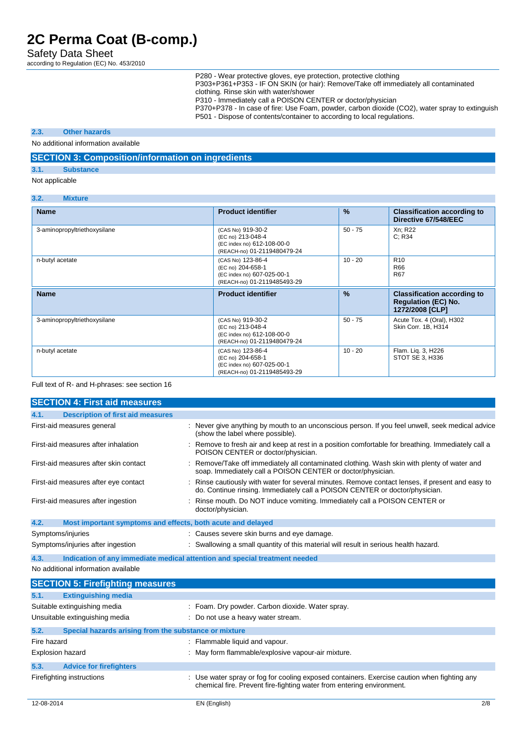Safety Data Sheet

according to Regulation (EC) No. 453/2010

P280 - Wear protective gloves, eye protection, protective clothing

P303+P361+P353 - IF ON SKIN (or hair): Remove/Take off immediately all contaminated clothing. Rinse skin with water/shower

P310 - Immediately call a POISON CENTER or doctor/physician

P370+P378 - In case of fire: Use Foam, powder, carbon dioxide (CO2), water spray to extinguish P501 - Dispose of contents/container to according to local regulations.

#### **2.3. Other hazards**

No additional information available

#### **SECTION 3: Composition/information on ingredients**

## **3.1. Substance**

**3.2. Mixture**

Not applicable

| $\mathbf{v}$ .<br>$\mathbf{m}$ |                                                                                                     |           |                                                                                     |
|--------------------------------|-----------------------------------------------------------------------------------------------------|-----------|-------------------------------------------------------------------------------------|
| <b>Name</b>                    | <b>Product identifier</b>                                                                           | %         | <b>Classification according to</b><br>Directive 67/548/EEC                          |
| 3-aminopropyltriethoxysilane   | (CAS No) 919-30-2<br>(EC no) 213-048-4<br>(EC index no) 612-108-00-0<br>(REACH-no) 01-2119480479-24 | $50 - 75$ | Xn; R22<br>C: R34                                                                   |
| n-butyl acetate                | (CAS No) 123-86-4<br>(EC no) 204-658-1<br>(EC index no) 607-025-00-1<br>(REACH-no) 01-2119485493-29 | $10 - 20$ | R <sub>10</sub><br>R66<br>R67                                                       |
| <b>Name</b>                    | <b>Product identifier</b>                                                                           | $\%$      |                                                                                     |
|                                |                                                                                                     |           | <b>Classification according to</b><br><b>Regulation (EC) No.</b><br>1272/2008 [CLP] |
| 3-aminopropyltriethoxysilane   | (CAS No) 919-30-2<br>(EC no) 213-048-4<br>(EC index no) 612-108-00-0<br>(REACH-no) 01-2119480479-24 | $50 - 75$ | Acute Tox. 4 (Oral), H302<br>Skin Corr. 1B, H314                                    |

#### Full text of R- and H-phrases: see section 16

| <b>SECTION 4: First aid measures</b>                                |                                                                                                                                                                                 |
|---------------------------------------------------------------------|---------------------------------------------------------------------------------------------------------------------------------------------------------------------------------|
| <b>Description of first aid measures</b><br>4.1.                    |                                                                                                                                                                                 |
| First-aid measures general                                          | : Never give anything by mouth to an unconscious person. If you feel unwell, seek medical advice<br>(show the label where possible).                                            |
| First-aid measures after inhalation                                 | Remove to fresh air and keep at rest in a position comfortable for breathing. Immediately call a<br>POISON CENTER or doctor/physician.                                          |
| First-aid measures after skin contact                               | : Remove/Take off immediately all contaminated clothing. Wash skin with plenty of water and<br>soap. Immediately call a POISON CENTER or doctor/physician.                      |
| First-aid measures after eye contact                                | : Rinse cautiously with water for several minutes. Remove contact lenses, if present and easy to<br>do. Continue rinsing. Immediately call a POISON CENTER or doctor/physician. |
| First-aid measures after ingestion                                  | Rinse mouth. Do NOT induce vomiting. Immediately call a POISON CENTER or<br>doctor/physician.                                                                                   |
| 4.2.<br>Most important symptoms and effects, both acute and delayed |                                                                                                                                                                                 |
| Symptoms/injuries                                                   | : Causes severe skin burns and eye damage.                                                                                                                                      |
| Symptoms/injuries after ingestion                                   | : Swallowing a small quantity of this material will result in serious health hazard.                                                                                            |
| 4.3.                                                                | Indication of any immediate medical attention and special treatment needed                                                                                                      |
| No additional information available                                 |                                                                                                                                                                                 |

|             | <b>SECTION 5: Firefighting measures</b>               |                                                                                                                                                                      |
|-------------|-------------------------------------------------------|----------------------------------------------------------------------------------------------------------------------------------------------------------------------|
| 5.1.        | <b>Extinguishing media</b>                            |                                                                                                                                                                      |
|             | Suitable extinguishing media                          | : Foam. Dry powder. Carbon dioxide. Water spray.                                                                                                                     |
|             | Unsuitable extinguishing media                        | : Do not use a heavy water stream.                                                                                                                                   |
| 5.2.        | Special hazards arising from the substance or mixture |                                                                                                                                                                      |
| Fire hazard |                                                       | : Flammable liquid and vapour.                                                                                                                                       |
|             | <b>Explosion hazard</b>                               | : May form flammable/explosive vapour-air mixture.                                                                                                                   |
| 5.3.        | <b>Advice for firefighters</b>                        |                                                                                                                                                                      |
|             | Firefighting instructions                             | : Use water spray or fog for cooling exposed containers. Exercise caution when fighting any<br>chemical fire. Prevent fire-fighting water from entering environment. |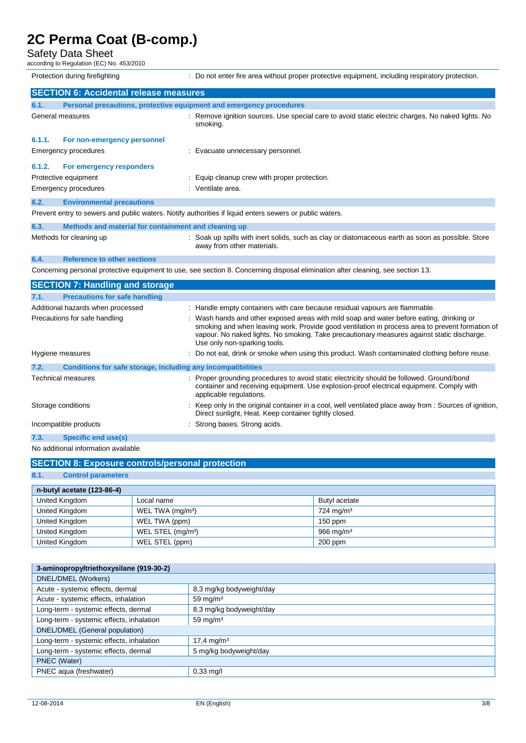### Safety Data Sheet

according to Regulation (EC) No. 453/2010

Protection during firefighting **interval to the state of the state of the state of the state of the state of the state of the state of the state of the state of the state of the state of the state of the state of the state** 

|        | <b>SECTION 6: Accidental release measures</b>                       |                                                                                                                               |
|--------|---------------------------------------------------------------------|-------------------------------------------------------------------------------------------------------------------------------|
| 6.1.   | Personal precautions, protective equipment and emergency procedures |                                                                                                                               |
|        | General measures                                                    | Remove ignition sources. Use special care to avoid static electric charges. No naked lights. No<br>smoking.                   |
| 6.1.1. | For non-emergency personnel                                         |                                                                                                                               |
|        | Emergency procedures                                                | Evacuate unnecessary personnel.                                                                                               |
| 6.1.2. | For emergency responders                                            |                                                                                                                               |
|        | Protective equipment                                                | Equip cleanup crew with proper protection.                                                                                    |
|        | Emergency procedures                                                | : Ventilate area.                                                                                                             |
| 6.2.   | <b>Environmental precautions</b>                                    |                                                                                                                               |
|        |                                                                     | Prevent entry to sewers and public waters. Notify authorities if liquid enters sewers or public waters.                       |
| 6.3.   | Methods and material for containment and cleaning up                |                                                                                                                               |
|        | Methods for cleaning up                                             | Soak up spills with inert solids, such as clay or diatomaceous earth as soon as possible. Store<br>away from other materials. |
| 6.4.   | <b>Reference to other sections</b>                                  |                                                                                                                               |

Concerning personal protective equipment to use, see section 8. Concerning disposal elimination after cleaning, see section 13.

|      | <b>SECTION 7: Handling and storage</b>                       |                                                                                                                                                                                                                                                                                                                           |
|------|--------------------------------------------------------------|---------------------------------------------------------------------------------------------------------------------------------------------------------------------------------------------------------------------------------------------------------------------------------------------------------------------------|
| 7.1. | <b>Precautions for safe handling</b>                         |                                                                                                                                                                                                                                                                                                                           |
|      | Additional hazards when processed                            | : Handle empty containers with care because residual vapours are flammable.                                                                                                                                                                                                                                               |
|      | Precautions for safe handling                                | : Wash hands and other exposed areas with mild soap and water before eating, drinking or<br>smoking and when leaving work. Provide good ventilation in process area to prevent formation of<br>vapour. No naked lights. No smoking. Take precautionary measures against static discharge.<br>Use only non-sparking tools. |
|      | Hygiene measures                                             | : Do not eat, drink or smoke when using this product. Wash contaminated clothing before reuse.                                                                                                                                                                                                                            |
| 7.2. | Conditions for safe storage, including any incompatibilities |                                                                                                                                                                                                                                                                                                                           |
|      | <b>Technical measures</b>                                    | : Proper grounding procedures to avoid static electricity should be followed. Ground/bond<br>container and receiving equipment. Use explosion-proof electrical equipment. Comply with<br>applicable regulations.                                                                                                          |
|      | Storage conditions                                           | : Keep only in the original container in a cool, well ventilated place away from : Sources of ignition,<br>Direct sunlight, Heat. Keep container tightly closed.                                                                                                                                                          |
|      | Incompatible products                                        | : Strong bases. Strong acids.                                                                                                                                                                                                                                                                                             |
| 7.3. | <b>Specific end use(s)</b>                                   |                                                                                                                                                                                                                                                                                                                           |
|      |                                                              |                                                                                                                                                                                                                                                                                                                           |

No additional information available

| <b>SECTION 8: Exposure controls/personal protection</b> |                               |                         |  |  |
|---------------------------------------------------------|-------------------------------|-------------------------|--|--|
| 8.1.<br><b>Control parameters</b>                       |                               |                         |  |  |
| n-butyl acetate (123-86-4)                              |                               |                         |  |  |
| United Kingdom                                          | Local name                    | Butyl acetate           |  |  |
| United Kingdom                                          | WEL TWA (mg/m <sup>3</sup> )  | $724$ mg/m <sup>3</sup> |  |  |
| United Kingdom                                          | WEL TWA (ppm)                 | $150$ ppm               |  |  |
| United Kingdom                                          | WEL STEL (mg/m <sup>3</sup> ) | $966 \text{ mg/m}^3$    |  |  |
| United Kingdom                                          | WEL STEL (ppm)                | $200$ ppm               |  |  |

| 3-aminopropyltriethoxysilane (919-30-2)  |                          |  |
|------------------------------------------|--------------------------|--|
| DNEL/DMEL (Workers)                      |                          |  |
| Acute - systemic effects, dermal         | 8,3 mg/kg bodyweight/day |  |
| Acute - systemic effects, inhalation     | 59 mg/m $3$              |  |
| Long-term - systemic effects, dermal     | 8,3 mg/kg bodyweight/day |  |
| Long-term - systemic effects, inhalation | 59 mg/m $3$              |  |
| DNEL/DMEL (General population)           |                          |  |
| Long-term - systemic effects, inhalation | $17.4 \text{ mg/m}^3$    |  |
| Long-term - systemic effects, dermal     | 5 mg/kg bodyweight/day   |  |
| PNEC (Water)                             |                          |  |
| PNEC aqua (freshwater)                   | $0,33$ mg/l              |  |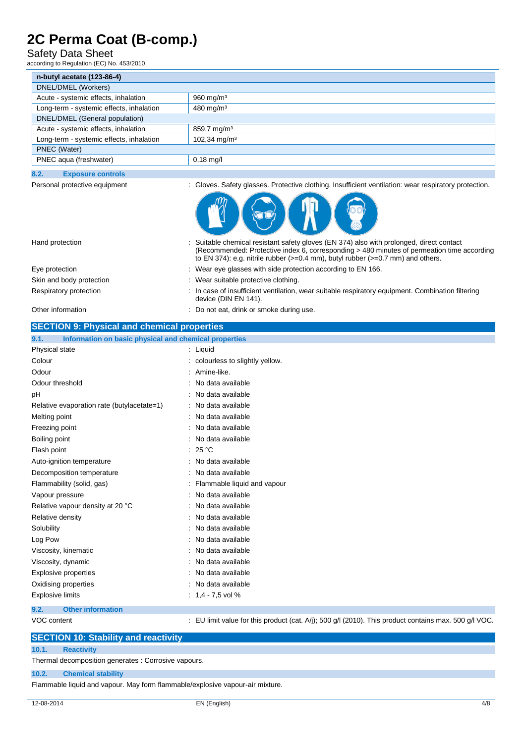### Safety Data Sheet

according to Regulation (EC) No. 453/2010

| n-butyl acetate (123-86-4)               |                           |
|------------------------------------------|---------------------------|
| DNEL/DMEL (Workers)                      |                           |
| Acute - systemic effects, inhalation     | $960$ mg/m <sup>3</sup>   |
| Long-term - systemic effects, inhalation | $480$ mg/m <sup>3</sup>   |
| DNEL/DMEL (General population)           |                           |
| Acute - systemic effects, inhalation     | $859,7 \,\mathrm{mg/m^3}$ |
| Long-term - systemic effects, inhalation | 102,34 mg/m <sup>3</sup>  |
| PNEC (Water)                             |                           |
| PNEC aqua (freshwater)                   | $0,18$ mg/l               |

### **8.2. Exposure controls**

Personal protective equipment : Gloves. Safety glasses. Protective clothing. Insufficient ventilation: wear respiratory protection.

(Recommended: Protective index 6, corresponding > 480 minutes of permeation time according

to EN 374): e.g. nitrile rubber  $(>=0.4$  mm), butyl rubber  $(>=0.7$  mm) and others.



Hand protection : Suitable chemical resistant safety gloves (EN 374) also with prolonged, direct contact Eye protection **interval of the COV** is Wear eye glasses with side protection according to EN 166. Skin and body protection : Wear suitable protective clothing.

Respiratory protection : In case of insufficient ventilation, wear suitable respiratory equipment. Combination filtering

| nosphatory protociton                                         | . In case or insumation, verification, wear suitable respiratory equipment. Combination intering<br>device (DIN EN 141). |
|---------------------------------------------------------------|--------------------------------------------------------------------------------------------------------------------------|
| Other information                                             | : Do not eat, drink or smoke during use.                                                                                 |
| <b>SECTION 9: Physical and chemical properties</b>            |                                                                                                                          |
| Information on basic physical and chemical properties<br>9.1. |                                                                                                                          |
| Physical state                                                | : Liguid                                                                                                                 |
| Colour                                                        | : colourless to slightly yellow.                                                                                         |
| Odour                                                         | : Amine-like.                                                                                                            |
| Odour threshold                                               | : No data available                                                                                                      |

| рH                                         | No data available             |
|--------------------------------------------|-------------------------------|
| Relative evaporation rate (butylacetate=1) | : No data available           |
| Melting point                              | : No data available           |
| Freezing point                             | : No data available           |
| Boiling point                              | : No data available           |
| Flash point                                | : 25 $^{\circ}$ C             |
| Auto-ignition temperature                  | : No data available           |
| Decomposition temperature                  | : No data available           |
| Flammability (solid, gas)                  | : Flammable liquid and vapour |
| Vapour pressure                            | : No data available           |
| Relative vapour density at 20 °C           | No data available             |
| Relative density                           | : No data available           |
| Solubility                                 | : No data available           |
| Log Pow                                    | : No data available           |
| Viscosity, kinematic                       | No data available             |
| Viscosity, dynamic                         | No data available             |
| Explosive properties                       | No data available             |
| Oxidising properties                       | : No data available           |
| <b>Explosive limits</b>                    | $: 1.4 - 7.5$ vol %           |
| ດ ລ<br>Othor information                   |                               |

#### **9.2. Other information**

VOC content : EU limit value for this product (cat. A/j); 500 g/l (2010). This product contains max. 500 g/l VOC.

## **SECTION 10: Stability and reactivity**

#### **10.1. Reactivity**

Thermal decomposition generates : Corrosive vapours.

## **10.2. Chemical stability**

Flammable liquid and vapour. May form flammable/explosive vapour-air mixture.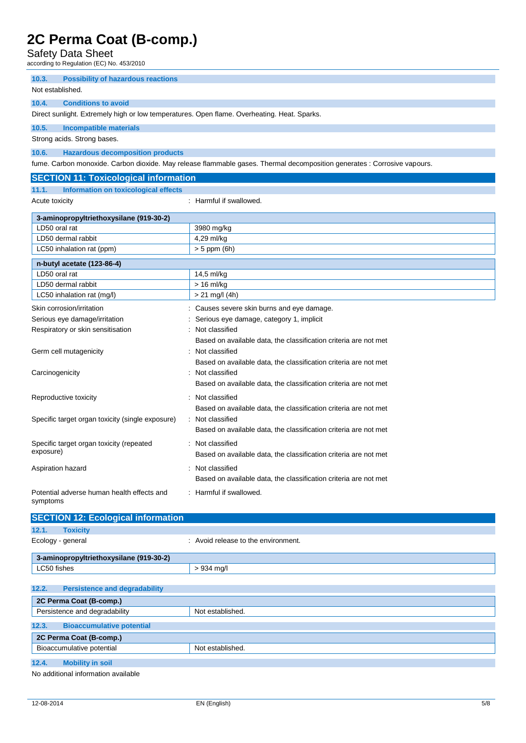Safety Data Sheet

according to Regulation (EC) No. 453/2010

**10.3. Possibility of hazardous reactions**

### Not established.

#### **10.4. Conditions to avoid**

Direct sunlight. Extremely high or low temperatures. Open flame. Overheating. Heat. Sparks.

### **10.5. Incompatible materials**

**SECTION 11: Toxicological information**

Strong acids. Strong bases.

**10.6. Hazardous decomposition products**

fume. Carbon monoxide. Carbon dioxide. May release flammable gases. Thermal decomposition generates : Corrosive vapours.

| <b>SECTION TT: FOXICOlOGICAL INTOFINATION</b>          |                                                                  |
|--------------------------------------------------------|------------------------------------------------------------------|
| 11.1.<br>Information on toxicological effects          |                                                                  |
| Acute toxicity                                         | : Harmful if swallowed.                                          |
| 3-aminopropyltriethoxysilane (919-30-2)                |                                                                  |
| LD50 oral rat                                          | 3980 mg/kg                                                       |
| LD50 dermal rabbit                                     | 4,29 ml/kg                                                       |
| LC50 inhalation rat (ppm)                              | $> 5$ ppm (6h)                                                   |
| n-butyl acetate (123-86-4)                             |                                                                  |
| LD50 oral rat                                          | 14,5 ml/kg                                                       |
| LD50 dermal rabbit                                     | $> 16$ ml/kg                                                     |
| LC50 inhalation rat (mg/l)                             | $> 21$ mg/l (4h)                                                 |
| Skin corrosion/irritation                              | Causes severe skin burns and eye damage.                         |
| Serious eye damage/irritation                          | Serious eye damage, category 1, implicit                         |
| Respiratory or skin sensitisation                      | Not classified                                                   |
|                                                        | Based on available data, the classification criteria are not met |
| Germ cell mutagenicity                                 | Not classified                                                   |
|                                                        | Based on available data, the classification criteria are not met |
| Carcinogenicity                                        | Not classified                                                   |
|                                                        | Based on available data, the classification criteria are not met |
| Reproductive toxicity                                  | Not classified                                                   |
|                                                        | Based on available data, the classification criteria are not met |
| Specific target organ toxicity (single exposure)       | Not classified                                                   |
|                                                        | Based on available data, the classification criteria are not met |
| Specific target organ toxicity (repeated               | Not classified                                                   |
| exposure)                                              | Based on available data, the classification criteria are not met |
| Aspiration hazard                                      | Not classified                                                   |
|                                                        | Based on available data, the classification criteria are not met |
| Potential adverse human health effects and<br>symptoms | : Harmful if swallowed.                                          |

| <b>SECTION 12: Ecological information</b>     |                                     |  |
|-----------------------------------------------|-------------------------------------|--|
| 12.1.<br><b>Toxicity</b>                      |                                     |  |
| Ecology - general                             | : Avoid release to the environment. |  |
| 3-aminopropyltriethoxysilane (919-30-2)       |                                     |  |
| LC50 fishes                                   | $> 934$ mg/l                        |  |
|                                               |                                     |  |
| 12.2.<br><b>Persistence and degradability</b> |                                     |  |
| 2C Perma Coat (B-comp.)                       |                                     |  |
| Persistence and degradability                 | Not established.                    |  |

| 12.3.                                | <b>Bioaccumulative potential</b> |  |
|--------------------------------------|----------------------------------|--|
| 2C Perma Coat (B-comp.)              |                                  |  |
| Bioaccumulative potential            | Not established.                 |  |
| 12.4.<br><b>Mobility in soil</b>     |                                  |  |
| Alo additional information available |                                  |  |

additional information available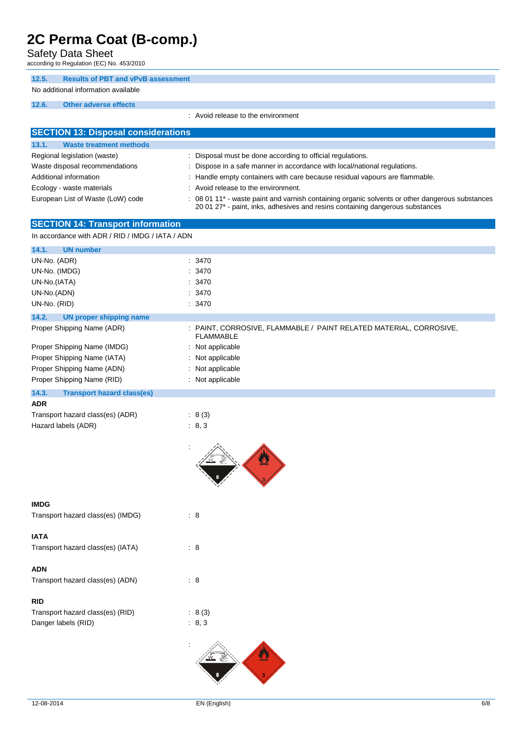Safety Data Sheet

according to Regulation (EC) No. 453/2010

### **12.5. Results of PBT and vPvB assessment**

## No additional information available

### **12.6. Other adverse effects**

: Avoid release to the environment

|                                                              | UN IGIGASG IV LIIG GITYII VIIITIGI IL                                                                                                                                                        |
|--------------------------------------------------------------|----------------------------------------------------------------------------------------------------------------------------------------------------------------------------------------------|
| <b>SECTION 13: Disposal considerations</b>                   |                                                                                                                                                                                              |
| 13.1.<br><b>Waste treatment methods</b>                      |                                                                                                                                                                                              |
| Regional legislation (waste)                                 | : Disposal must be done according to official regulations.                                                                                                                                   |
| Waste disposal recommendations                               | Dispose in a safe manner in accordance with local/national regulations.                                                                                                                      |
| Additional information                                       | : Handle empty containers with care because residual vapours are flammable.                                                                                                                  |
| Ecology - waste materials                                    | : Avoid release to the environment.                                                                                                                                                          |
| European List of Waste (LoW) code                            | : 08 01 11 <sup>*</sup> - waste paint and varnish containing organic solvents or other dangerous substances<br>20 01 27* - paint, inks, adhesives and resins containing dangerous substances |
| <b>SECTION 14: Transport information</b>                     |                                                                                                                                                                                              |
| In accordance with ADR / RID / IMDG / IATA / ADN             |                                                                                                                                                                                              |
| <b>UN number</b><br>14.1.                                    |                                                                                                                                                                                              |
| UN-No. (ADR)                                                 | : 3470                                                                                                                                                                                       |
| UN-No. (IMDG)                                                | : 3470                                                                                                                                                                                       |
| UN-No.(IATA)                                                 | : 3470                                                                                                                                                                                       |
| UN-No.(ADN)                                                  | : 3470                                                                                                                                                                                       |
| UN-No. (RID)                                                 | : 3470                                                                                                                                                                                       |
| 14.2.                                                        |                                                                                                                                                                                              |
| <b>UN proper shipping name</b><br>Proper Shipping Name (ADR) | : PAINT, CORROSIVE, FLAMMABLE / PAINT RELATED MATERIAL, CORROSIVE,                                                                                                                           |
|                                                              | <b>FLAMMABLE</b>                                                                                                                                                                             |
| Proper Shipping Name (IMDG)                                  | : Not applicable                                                                                                                                                                             |
| Proper Shipping Name (IATA)                                  | : Not applicable                                                                                                                                                                             |
| Proper Shipping Name (ADN)                                   | : Not applicable                                                                                                                                                                             |
| Proper Shipping Name (RID)                                   | : Not applicable                                                                                                                                                                             |
| 14.3.<br><b>Transport hazard class(es)</b>                   |                                                                                                                                                                                              |
| <b>ADR</b>                                                   |                                                                                                                                                                                              |
| Transport hazard class(es) (ADR)                             | : 8(3)                                                                                                                                                                                       |
| Hazard labels (ADR)                                          | : 8, 3                                                                                                                                                                                       |
|                                                              |                                                                                                                                                                                              |
|                                                              |                                                                                                                                                                                              |
| <b>IMDG</b>                                                  |                                                                                                                                                                                              |
| Transport hazard class(es) (IMDG)                            | $\therefore$ 8                                                                                                                                                                               |
|                                                              |                                                                                                                                                                                              |
| <b>IATA</b>                                                  |                                                                                                                                                                                              |
| Transport hazard class(es) (IATA)                            | : 8                                                                                                                                                                                          |
|                                                              |                                                                                                                                                                                              |
| <b>ADN</b>                                                   |                                                                                                                                                                                              |
| Transport hazard class(es) (ADN)                             | : 8                                                                                                                                                                                          |
|                                                              |                                                                                                                                                                                              |
| <b>RID</b>                                                   |                                                                                                                                                                                              |
| Transport hazard class(es) (RID)                             | : 8(3)                                                                                                                                                                                       |
| Danger labels (RID)                                          | : 8, 3                                                                                                                                                                                       |
|                                                              |                                                                                                                                                                                              |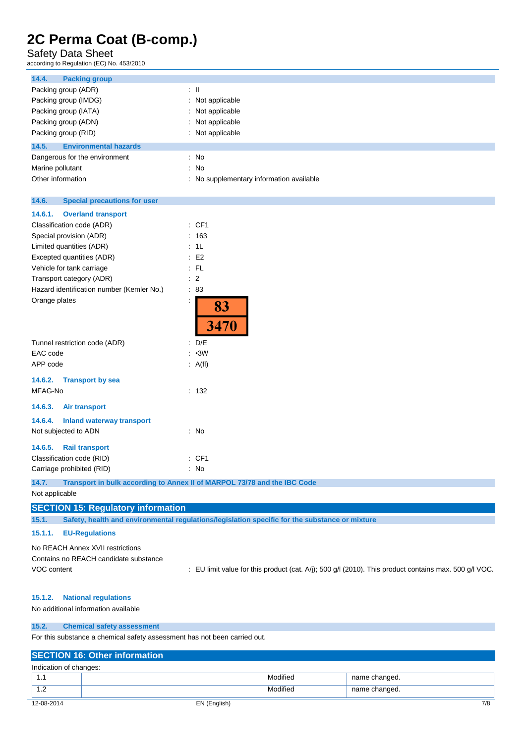### Safety Data Sheet

according to Regulation (EC) No. 453/2010

| <b>Packing group</b><br>14.4.                |                                                                                                |
|----------------------------------------------|------------------------------------------------------------------------------------------------|
| Packing group (ADR)                          | $\pm$ 11                                                                                       |
| Packing group (IMDG)                         | Not applicable<br>÷                                                                            |
| Packing group (IATA)                         | Not applicable                                                                                 |
| Packing group (ADN)                          | Not applicable                                                                                 |
| Packing group (RID)                          | Not applicable                                                                                 |
| 14.5.<br><b>Environmental hazards</b>        |                                                                                                |
| Dangerous for the environment                | : No                                                                                           |
| Marine pollutant                             | No<br>÷                                                                                        |
| Other information                            | No supplementary information available                                                         |
| 14.6.<br><b>Special precautions for user</b> |                                                                                                |
|                                              |                                                                                                |
| 14.6.1.<br><b>Overland transport</b>         |                                                                                                |
| Classification code (ADR)                    | : CF1                                                                                          |
| Special provision (ADR)                      | : 163                                                                                          |
| Limited quantities (ADR)                     | : 1L                                                                                           |
| Excepted quantities (ADR)                    | E <sub>2</sub>                                                                                 |
| Vehicle for tank carriage                    | $:$ FL                                                                                         |
| Transport category (ADR)                     | $\therefore$ 2                                                                                 |
| Hazard identification number (Kemler No.)    | $\therefore 83$                                                                                |
| Orange plates                                | İ<br>83<br>3470                                                                                |
| Tunnel restriction code (ADR)                | : D/E                                                                                          |
| EAC code                                     | $-3W$<br>÷                                                                                     |
| APP code                                     | : A(f)                                                                                         |
| 14.6.2.<br><b>Transport by sea</b>           |                                                                                                |
| MFAG-No                                      | : 132                                                                                          |
| 14.6.3.<br><b>Air transport</b>              |                                                                                                |
| 14.6.4.<br><b>Inland waterway transport</b>  |                                                                                                |
| Not subjected to ADN                         | : No                                                                                           |
| <b>Rail transport</b><br>14.6.5.             |                                                                                                |
| Classification code (RID)                    | : CF1                                                                                          |
| Carriage prohibited (RID)                    | : No                                                                                           |
| 14.7.                                        | Transport in bulk according to Annex II of MARPOL 73/78 and the IBC Code                       |
| Not applicable                               |                                                                                                |
| <b>SECTION 15: Regulatory information</b>    |                                                                                                |
| 15.1.                                        | Safety, health and environmental regulations/legislation specific for the substance or mixture |
| <b>EU-Regulations</b><br>15.1.1.             |                                                                                                |

No REACH Annex XVII restrictions Contains no REACH candidate substance

VOC content : EU limit value for this product (cat. A/j); 500 g/l (2010). This product contains max. 500 g/l VOC.

#### **15.1.2. National regulations**

No additional information available

#### **15.2. Chemical safety assessment**

For this substance a chemical safety assessment has not been carried out.

## **SECTION 16: Other information** Indication of changes: 1.1 Modified name changed. 1.2 **Modified** name changed.